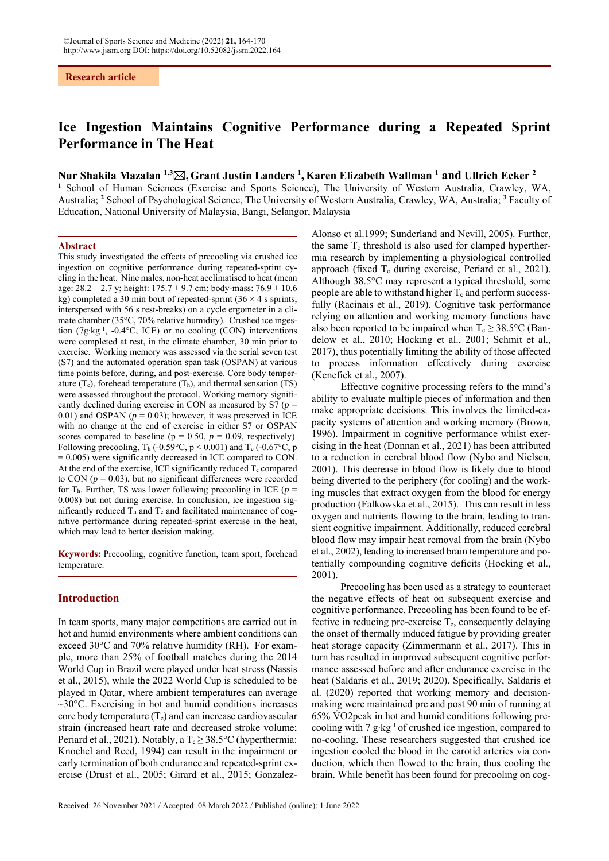# **Ice Ingestion Maintains Cognitive Performance during a Repeated Sprint Performance in The Heat**

## **Nur Shakila Mazalan 1,3 , Grant Justin Landers 1 , Karen Elizabeth Wallman 1 and Ullrich Ecker 2**

**1** School of Human Sciences (Exercise and Sports Science), The University of Western Australia, Crawley, WA, Australia; **<sup>2</sup>** School of Psychological Science, The University of Western Australia, Crawley, WA, Australia; **<sup>3</sup>** Faculty of Education, National University of Malaysia, Bangi, Selangor, Malaysia

### **Abstract**

This study investigated the effects of precooling via crushed ice ingestion on cognitive performance during repeated-sprint cycling in the heat.Nine males, non-heat acclimatised to heat (mean age:  $28.2 \pm 2.7$  y; height:  $175.7 \pm 9.7$  cm; body-mass:  $76.9 \pm 10.6$ kg) completed a 30 min bout of repeated-sprint  $(36 \times 4 \text{ s} \text{ springs},$ interspersed with 56 s rest-breaks) on a cycle ergometer in a climate chamber (35°C, 70% relative humidity). Crushed ice ingestion (7g∙kg-1, -0.4°C, ICE) or no cooling (CON) interventions were completed at rest, in the climate chamber, 30 min prior to exercise. Working memory was assessed via the serial seven test (S7) and the automated operation span task (OSPAN) at various time points before, during, and post-exercise. Core body temperature  $(T_c)$ , forehead temperature  $(T_h)$ , and thermal sensation  $(TS)$ were assessed throughout the protocol. Working memory significantly declined during exercise in CON as measured by S7 (*p* = 0.01) and OSPAN ( $p = 0.03$ ); however, it was preserved in ICE with no change at the end of exercise in either S7 or OSPAN scores compared to baseline ( $p = 0.50$ ,  $p = 0.09$ , respectively). Following precooling,  $T_h$  (-0.59°C, p < 0.001) and  $T_c$  (-0.67°C, p = 0.005) were significantly decreased in ICE compared to CON. At the end of the exercise, ICE significantly reduced  $T_c$  compared to CON  $(p = 0.03)$ , but no significant differences were recorded for T<sub>h</sub>. Further, TS was lower following precooling in ICE ( $p =$ 0.008) but not during exercise. In conclusion, ice ingestion significantly reduced  $T<sub>h</sub>$  and  $T<sub>c</sub>$  and facilitated maintenance of cognitive performance during repeated-sprint exercise in the heat, which may lead to better decision making.

**Keywords:** Precooling, cognitive function, team sport, forehead temperature.

### **Introduction**

In team sports, many major competitions are carried out in hot and humid environments where ambient conditions can exceed 30°C and 70% relative humidity (RH). For example, more than 25% of football matches during the 2014 World Cup in Brazil were played under heat stress (Nassis et al., 2015), while the 2022 World Cup is scheduled to be played in Qatar, where ambient temperatures can average  $\sim$ 30 $\degree$ C. Exercising in hot and humid conditions increases core body temperature  $(T_c)$  and can increase cardiovascular strain (increased heart rate and decreased stroke volume; Periard et al., 2021). Notably, a  $T_c \geq 38.5^{\circ}C$  (hyperthermia: Knochel and Reed, 1994) can result in the impairment or early termination of both endurance and repeated-sprint exercise (Drust et al., 2005; Girard et al., 2015; Gonzalez-

Alonso et al.1999; Sunderland and Nevill, 2005). Further, the same  $T_c$  threshold is also used for clamped hyperthermia research by implementing a physiological controlled approach (fixed  $T_c$  during exercise, Periard et al., 2021). Although 38.5°C may represent a typical threshold, some people are able to withstand higher  $T_c$  and perform successfully (Racinais et al., 2019). Cognitive task performance relying on attention and working memory functions have also been reported to be impaired when  $T_c \geq 38.5^{\circ}\text{C}$  (Bandelow et al., 2010; Hocking et al., 2001; Schmit et al., 2017), thus potentially limiting the ability of those affected to process information effectively during exercise (Kenefick et al., 2007).

Effective cognitive processing refers to the mind's ability to evaluate multiple pieces of information and then make appropriate decisions. This involves the limited-capacity systems of attention and working memory (Brown, 1996). Impairment in cognitive performance whilst exercising in the heat (Donnan et al., 2021) has been attributed to a reduction in cerebral blood flow (Nybo and Nielsen, 2001). This decrease in blood flow is likely due to blood being diverted to the periphery (for cooling) and the working muscles that extract oxygen from the blood for energy production (Falkowska et al., 2015). This can result in less oxygen and nutrients flowing to the brain, leading to transient cognitive impairment. Additionally, reduced cerebral blood flow may impair heat removal from the brain (Nybo et al., 2002), leading to increased brain temperature and potentially compounding cognitive deficits (Hocking et al., 2001).

Precooling has been used as a strategy to counteract the negative effects of heat on subsequent exercise and cognitive performance. Precooling has been found to be effective in reducing pre-exercise  $T_c$ , consequently delaying the onset of thermally induced fatigue by providing greater heat storage capacity (Zimmermann et al., 2017). This in turn has resulted in improved subsequent cognitive performance assessed before and after endurance exercise in the heat (Saldaris et al., 2019; 2020). Specifically, Saldaris et al. (2020) reported that working memory and decisionmaking were maintained pre and post 90 min of running at 65% V̇ O2peak in hot and humid conditions following precooling with 7 g∙kg-1 of crushed ice ingestion, compared to no-cooling. These researchers suggested that crushed ice ingestion cooled the blood in the carotid arteries via conduction, which then flowed to the brain, thus cooling the brain. While benefit has been found for precooling on cog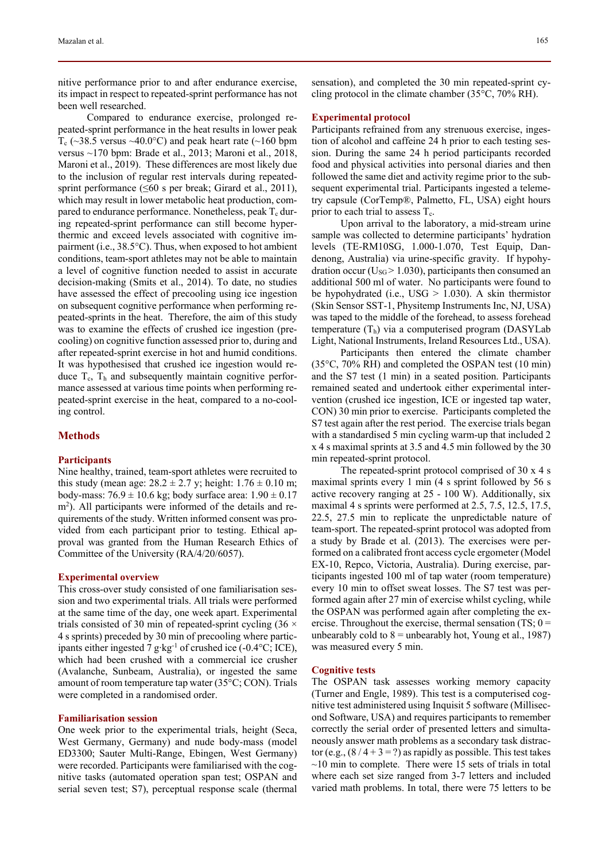nitive performance prior to and after endurance exercise, its impact in respect to repeated-sprint performance has not been well researched.

Compared to endurance exercise, prolonged repeated-sprint performance in the heat results in lower peak  $T_c$  (~38.5 versus ~40.0°C) and peak heart rate (~160 bpm versus ~170 bpm: Brade et al., 2013; Maroni et al., 2018, Maroni et al., 2019). These differences are most likely due to the inclusion of regular rest intervals during repeatedsprint performance ( $\leq 60$  s per break; Girard et al., 2011), which may result in lower metabolic heat production, compared to endurance performance. Nonetheless, peak  $T_c$  during repeated-sprint performance can still become hyperthermic and exceed levels associated with cognitive impairment (i.e., 38.5°C). Thus, when exposed to hot ambient conditions, team-sport athletes may not be able to maintain a level of cognitive function needed to assist in accurate decision-making (Smits et al., 2014). To date, no studies have assessed the effect of precooling using ice ingestion on subsequent cognitive performance when performing repeated-sprints in the heat. Therefore, the aim of this study was to examine the effects of crushed ice ingestion (precooling) on cognitive function assessed prior to, during and after repeated-sprint exercise in hot and humid conditions. It was hypothesised that crushed ice ingestion would reduce  $T_c$ ,  $T_h$  and subsequently maintain cognitive performance assessed at various time points when performing repeated-sprint exercise in the heat, compared to a no-cooling control.

### **Methods**

### **Participants**

Nine healthy, trained, team-sport athletes were recruited to this study (mean age:  $28.2 \pm 2.7$  y; height:  $1.76 \pm 0.10$  m; body-mass:  $76.9 \pm 10.6$  kg; body surface area:  $1.90 \pm 0.17$ m2 ). All participants were informed of the details and requirements of the study. Written informed consent was provided from each participant prior to testing. Ethical approval was granted from the Human Research Ethics of Committee of the University (RA/4/20/6057).

#### **Experimental overview**

This cross-over study consisted of one familiarisation session and two experimental trials. All trials were performed at the same time of the day, one week apart. Experimental trials consisted of 30 min of repeated-sprint cycling  $(36 \times$ 4 s sprints) preceded by 30 min of precooling where participants either ingested 7 g∙kg-1 of crushed ice (-0.4°C; ICE), which had been crushed with a commercial ice crusher (Avalanche, Sunbeam, Australia), or ingested the same amount of room temperature tap water (35°C; CON). Trials were completed in a randomised order.

### **Familiarisation session**

One week prior to the experimental trials, height (Seca, West Germany, Germany) and nude body-mass (model ED3300; Sauter Multi-Range, Ebingen, West Germany) were recorded. Participants were familiarised with the cognitive tasks (automated operation span test; OSPAN and serial seven test; S7), perceptual response scale (thermal

sensation), and completed the 30 min repeated-sprint cycling protocol in the climate chamber (35°C, 70% RH).

### **Experimental protocol**

Participants refrained from any strenuous exercise, ingestion of alcohol and caffeine 24 h prior to each testing session. During the same 24 h period participants recorded food and physical activities into personal diaries and then followed the same diet and activity regime prior to the subsequent experimental trial. Participants ingested a telemetry capsule (CorTemp®, Palmetto, FL, USA) eight hours prior to each trial to assess  $T_c$ .

Upon arrival to the laboratory, a mid-stream urine sample was collected to determine participants' hydration levels (TE-RM10SG, 1.000-1.070, Test Equip, Dandenong, Australia) via urine-specific gravity. If hypohydration occur ( $U_{SG}$  > 1.030), participants then consumed an additional 500 ml of water. No participants were found to be hypohydrated (i.e.,  $USG > 1.030$ ). A skin thermistor (Skin Sensor SST-1, Physitemp Instruments Inc, NJ, USA) was taped to the middle of the forehead, to assess forehead temperature  $(T_h)$  via a computerised program (DASYLab Light, National Instruments, Ireland Resources Ltd., USA).

Participants then entered the climate chamber (35°C, 70% RH) and completed the OSPAN test (10 min) and the S7 test (1 min) in a seated position. Participants remained seated and undertook either experimental intervention (crushed ice ingestion, ICE or ingested tap water, CON) 30 min prior to exercise. Participants completed the S7 test again after the rest period. The exercise trials began with a standardised 5 min cycling warm-up that included 2 x 4 s maximal sprints at 3.5 and 4.5 min followed by the 30 min repeated-sprint protocol.

The repeated-sprint protocol comprised of 30 x 4 s maximal sprints every 1 min (4 s sprint followed by 56 s active recovery ranging at 25 - 100 W). Additionally, six maximal 4 s sprints were performed at 2.5, 7.5, 12.5, 17.5, 22.5, 27.5 min to replicate the unpredictable nature of team-sport. The repeated-sprint protocol was adopted from a study by Brade et al. (2013). The exercises were performed on a calibrated front access cycle ergometer (Model EX-10, Repco, Victoria, Australia). During exercise, participants ingested 100 ml of tap water (room temperature) every 10 min to offset sweat losses. The S7 test was performed again after 27 min of exercise whilst cycling, while the OSPAN was performed again after completing the exercise. Throughout the exercise, thermal sensation  $(TS; 0 =$ unbearably cold to  $8 =$  unbearably hot, Young et al., 1987) was measured every 5 min.

### **Cognitive tests**

The OSPAN task assesses working memory capacity (Turner and Engle, 1989). This test is a computerised cognitive test administered using Inquisit 5 software (Millisecond Software, USA) and requires participants to remember correctly the serial order of presented letters and simultaneously answer math problems as a secondary task distractor (e.g.,  $(8/4 + 3 = ?)$  as rapidly as possible. This test takes  $\sim$ 10 min to complete. There were 15 sets of trials in total where each set size ranged from 3-7 letters and included varied math problems. In total, there were 75 letters to be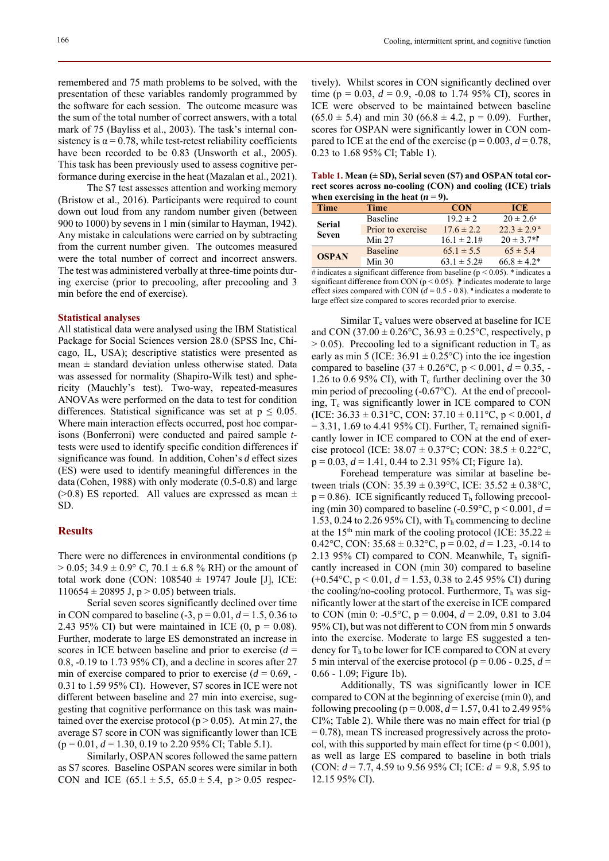remembered and 75 math problems to be solved, with the presentation of these variables randomly programmed by the software for each session. The outcome measure was the sum of the total number of correct answers, with a total mark of 75 (Bayliss et al., 2003). The task's internal consistency is  $\alpha$  = 0.78, while test-retest reliability coefficients have been recorded to be 0.83 (Unsworth et al., 2005). This task has been previously used to assess cognitive performance during exercise in the heat (Mazalan et al., 2021).

The S7 test assesses attention and working memory (Bristow et al., 2016). Participants were required to count down out loud from any random number given (between 900 to 1000) by sevens in 1 min (similar to Hayman, 1942). Any mistake in calculations were carried on by subtracting from the current number given. The outcomes measured were the total number of correct and incorrect answers. The test was administered verbally at three-time points during exercise (prior to precooling, after precooling and 3 min before the end of exercise).

### **Statistical analyses**

All statistical data were analysed using the IBM Statistical Package for Social Sciences version 28.0 (SPSS Inc, Chicago, IL, USA); descriptive statistics were presented as mean  $\pm$  standard deviation unless otherwise stated. Data was assessed for normality (Shapiro-Wilk test) and sphericity (Mauchly's test). Two-way, repeated-measures ANOVAs were performed on the data to test for condition differences. Statistical significance was set at  $p \leq 0.05$ . Where main interaction effects occurred, post hoc comparisons (Bonferroni) were conducted and paired sample *t*tests were used to identify specific condition differences if significance was found. In addition, Cohen's *d* effect sizes (ES) were used to identify meaningful differences in the data (Cohen, 1988) with only moderate (0.5-0.8) and large ( $>0.8$ ) ES reported. All values are expressed as mean  $\pm$ SD.

### **Results**

There were no differences in environmental conditions (p  $> 0.05$ ; 34.9  $\pm$  0.9° C, 70.1  $\pm$  6.8 % RH) or the amount of total work done (CON:  $108540 \pm 19747$  Joule [J], ICE:  $110654 \pm 20895$  J, p > 0.05) between trials.

Serial seven scores significantly declined over time in CON compared to baseline  $(-3, p = 0.01, d = 1.5, 0.36$  to 2.43 95% CI) but were maintained in ICE  $(0, p = 0.08)$ . Further, moderate to large ES demonstrated an increase in scores in ICE between baseline and prior to exercise (*d* = 0.8, -0.19 to 1.73 95% CI), and a decline in scores after 27 min of exercise compared to prior to exercise  $(d = 0.69, -$ 0.31 to 1.59 95% CI). However, S7 scores in ICE were not different between baseline and 27 min into exercise, suggesting that cognitive performance on this task was maintained over the exercise protocol ( $p > 0.05$ ). At min 27, the average S7 score in CON was significantly lower than ICE  $(p = 0.01, d = 1.30, 0.19$  to 2.20 95% CI; Table 5.1).

Similarly, OSPAN scores followed the same pattern as S7 scores. Baseline OSPAN scores were similar in both CON and ICE  $(65.1 \pm 5.5, 65.0 \pm 5.4, p > 0.05$  respectively). Whilst scores in CON significantly declined over time ( $p = 0.03$ ,  $d = 0.9$ ,  $-0.08$  to 1.74 95% CI), scores in ICE were observed to be maintained between baseline  $(65.0 \pm 5.4)$  and min 30  $(66.8 \pm 4.2, p = 0.09)$ . Further, scores for OSPAN were significantly lower in CON compared to ICE at the end of the exercise ( $p = 0.003$ ,  $d = 0.78$ , 0.23 to 1.68 95% CI; Table 1).

**Table 1. Mean (± SD), Serial seven (S7) and OSPAN total correct scores across no-cooling (CON) and cooling (ICE) trials**  when exercising in the heat  $(n = 9)$ .

| <b>Time</b>                   | <b>Time</b>       | <b>CON</b>        | ICE.                      |
|-------------------------------|-------------------|-------------------|---------------------------|
| <b>Serial</b><br><b>Seven</b> | <b>Baseline</b>   | $19.2 \pm 2$      | $20 \pm 2.6^{\circ}$      |
|                               | Prior to exercise | $17.6 \pm 2.2$    | $22.3 \pm 2.9^{\text{a}}$ |
|                               | Min 27            | $16.1 \pm 2.1 \#$ | $20 \pm 3.7$ <sup>*</sup> |
| <b>OSPAN</b>                  | <b>Baseline</b>   | $65.1 \pm 5.5$    | $65 \pm 5.4$              |
|                               | Min 30            | $63.1 \pm 5.2$ #  | $66.8 \pm 4.2^*$          |

# indicates a significant difference from baseline ( $p < 0.05$ ). \* indicates a significant difference from CON ( $p < 0.05$ ).  $\mathbb{P}$  indicates moderate to large effect sizes compared with CON  $\ddot{d} = 0.5 - 0.8$ ). <sup>a</sup> indicates a moderate to large effect size compared to scores recorded prior to exercise.

Similar  $T_c$  values were observed at baseline for ICE and CON  $(37.00 \pm 0.26^{\circ}\text{C}, 36.93 \pm 0.25^{\circ}\text{C},$  respectively, p  $> 0.05$ ). Precooling led to a significant reduction in T<sub>c</sub> as early as min 5 (ICE:  $36.91 \pm 0.25$ °C) into the ice ingestion compared to baseline  $(37 \pm 0.26^{\circ}\text{C}, p \le 0.001, d = 0.35, -0.001)$ 1.26 to 0.6 95% CI), with  $T_c$  further declining over the 30 min period of precooling (-0.67°C). At the end of precooling,  $T_c$  was significantly lower in ICE compared to CON (ICE:  $36.33 \pm 0.31$ °C, CON:  $37.10 \pm 0.11$ °C, p < 0.001, *d*  $= 3.31, 1.69$  to 4.41 95% CI). Further, T<sub>c</sub> remained significantly lower in ICE compared to CON at the end of exercise protocol (ICE:  $38.07 \pm 0.37$ °C; CON:  $38.5 \pm 0.22$ °C,  $p = 0.03$ ,  $d = 1.41$ , 0.44 to 2.31 95% CI; Figure 1a).

Forehead temperature was similar at baseline between trials (CON:  $35.39 \pm 0.39$ °C, ICE:  $35.52 \pm 0.38$ °C,  $p = 0.86$ ). ICE significantly reduced T<sub>h</sub> following precooling (min 30) compared to baseline (-0.59 $\degree$ C, p < 0.001, *d* = 1.53, 0.24 to 2.26 95% CI), with  $T<sub>h</sub>$  commencing to decline at the 15<sup>th</sup> min mark of the cooling protocol (ICE:  $35.22 \pm$ 0.42°C, CON:  $35.68 \pm 0.32$ °C, p = 0.02, d = 1.23, -0.14 to 2.13 95% CI) compared to CON. Meanwhile,  $T<sub>h</sub>$  significantly increased in CON (min 30) compared to baseline  $(+0.54\degree C, p < 0.01, d = 1.53, 0.38$  to 2.45 95% CI) during the cooling/no-cooling protocol. Furthermore,  $T<sub>h</sub>$  was significantly lower at the start of the exercise in ICE compared to CON (min 0: -0.5°C,  $p = 0.004$ ,  $d = 2.09$ , 0.81 to 3.04 95% CI), but was not different to CON from min 5 onwards into the exercise. Moderate to large ES suggested a tendency for  $T<sub>h</sub>$  to be lower for ICE compared to CON at every 5 min interval of the exercise protocol ( $p = 0.06 - 0.25$ ,  $d =$ 0.66 - 1.09; Figure 1b).

Additionally, TS was significantly lower in ICE compared to CON at the beginning of exercise (min 0), and following precooling ( $p = 0.008$ ,  $d = 1.57$ , 0.41 to 2.49 95% CI%; Table 2). While there was no main effect for trial (p  $= 0.78$ ), mean TS increased progressively across the protocol, with this supported by main effect for time ( $p < 0.001$ ), as well as large ES compared to baseline in both trials (CON: *d* = 7.7, 4.59 to 9.56 95% CI; ICE: *d =* 9.8, 5.95 to 12.15 95% CI).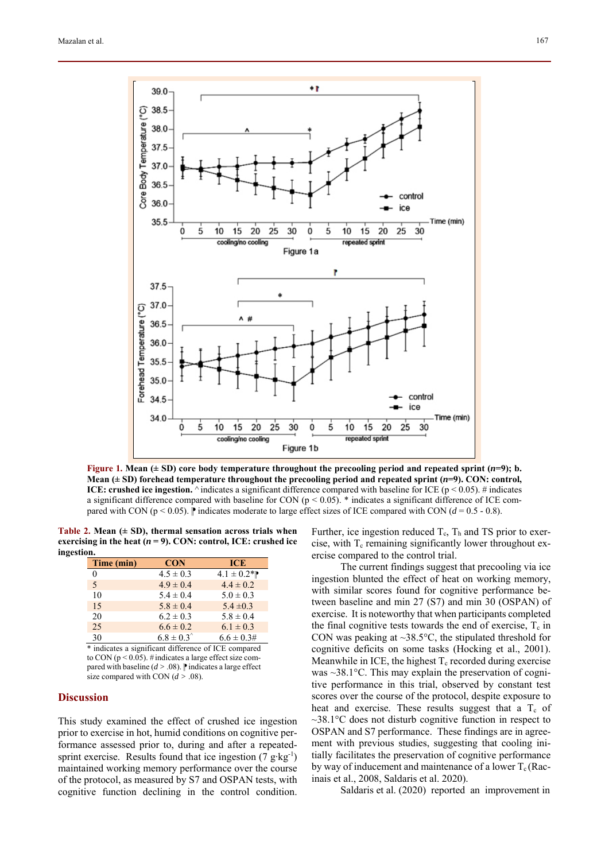

**Figure 1.** Mean ( $\pm$  SD) core body temperature throughout the precooling period and repeated sprint  $(n=9)$ ; b. **Mean**  $(\pm SD)$  forehead temperature throughout the precooling period and repeated sprint  $(n=9)$ . CON: control, **ICE: crushed ice ingestion.**  $\land$  indicates a significant difference compared with baseline for ICE ( $p < 0.05$ ). # indicates a significant difference compared with baseline for CON ( $p < 0.05$ ).  $*$  indicates a significant difference of ICE compared with CON ( $p < 0.05$ ).  $\mathbb{P}$  indicates moderate to large effect sizes of ICE compared with CON ( $d = 0.5 - 0.8$ ).

**Table 2. Mean (± SD), thermal sensation across trials when exercising in the heat (** $n = 9$ **). CON: control, ICE: crushed ice ingestion.** 

| <b>CON</b>            | <b>ICE</b>                                           |
|-----------------------|------------------------------------------------------|
| $4.5 \pm 0.3$         | $4.1 \pm 0.2^{*}$                                    |
| $4.9 \pm 0.4$         | $4.4 \pm 0.2$                                        |
| $5.4 \pm 0.4$         | $5.0 \pm 0.3$                                        |
| $5.8 \pm 0.4$         | $5.4 \pm 0.3$                                        |
| $6.2 \pm 0.3$         | $5.8 \pm 0.4$                                        |
| $6.6 \pm 0.2$         | $6.1 \pm 0.3$                                        |
| $6.8 \pm 0.3^{\circ}$ | $6.6 \pm 0.3$ #                                      |
|                       | * indicator a significant difference of ICE compared |

ant difference of ICE to CON ( $p \le 0.05$ ). # indicates a large effect size compared with baseline  $(d > .08)$ .  $\mathbb P$  indicates a large effect size compared with CON  $(d > .08)$ .

### **Discussion**

This study examined the effect of crushed ice ingestion prior to exercise in hot, humid conditions on cognitive performance assessed prior to, during and after a repeatedsprint exercise. Results found that ice ingestion (7 g⋅kg<sup>-1</sup>) maintained working memory performance over the course of the protocol, as measured by S7 and OSPAN tests, with cognitive function declining in the control condition. Further, ice ingestion reduced  $T_c$ ,  $T_h$  and TS prior to exercise, with  $T_c$  remaining significantly lower throughout exercise compared to the control trial.

The current findings suggest that precooling via ice ingestion blunted the effect of heat on working memory, with similar scores found for cognitive performance between baseline and min 27 (S7) and min 30 (OSPAN) of exercise. It is noteworthy that when participants completed the final cognitive tests towards the end of exercise,  $T_c$  in CON was peaking at  $\sim$ 38.5 $\degree$ C, the stipulated threshold for cognitive deficits on some tasks (Hocking et al., 2001). Meanwhile in ICE, the highest  $T_c$  recorded during exercise was  $\sim$ 38.1 $\degree$ C. This may explain the preservation of cognitive performance in this trial, observed by constant test scores over the course of the protocol, despite exposure to heat and exercise. These results suggest that a  $T_c$  of  $\sim$ 38.1 $\degree$ C does not disturb cognitive function in respect to OSPAN and S7 performance. These findings are in agreement with previous studies, suggesting that cooling initially facilitates the preservation of cognitive performance by way of inducement and maintenance of a lower  $T_c$  (Racinais et al., 2008, Saldaris et al. 2020).

Saldaris et al. (2020) reported an improvement in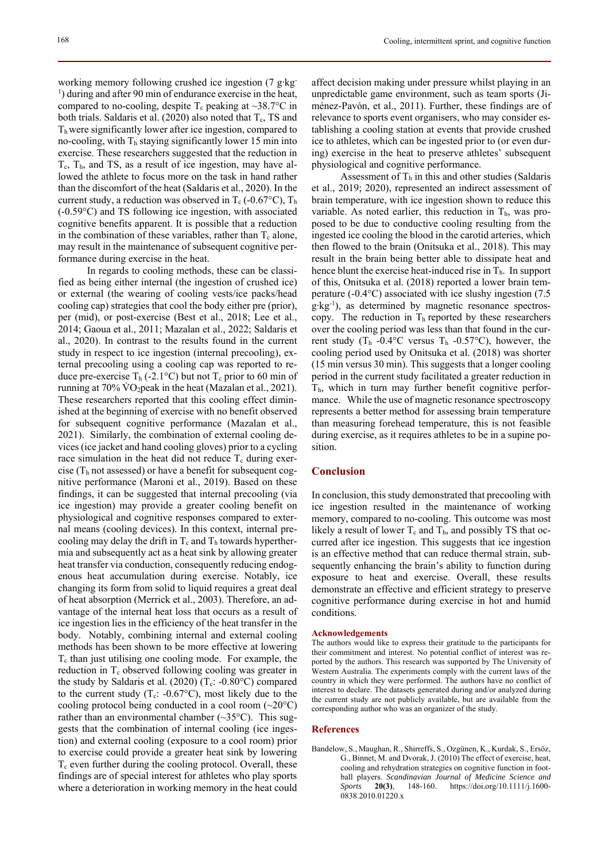working memory following crushed ice ingestion (7 g∙kg-<sup>1</sup>) during and after 90 min of endurance exercise in the heat, compared to no-cooling, despite  $T_c$  peaking at ~38.7°C in both trials. Saldaris et al. (2020) also noted that  $T_c$ , TS and Th were significantly lower after ice ingestion, compared to no-cooling, with  $T<sub>h</sub>$  staying significantly lower 15 min into exercise. These researchers suggested that the reduction in  $T_c$ ,  $T_h$ , and TS, as a result of ice ingestion, may have allowed the athlete to focus more on the task in hand rather than the discomfort of the heat (Saldaris et al., 2020). In the current study, a reduction was observed in  $T_c$  (-0.67°C),  $T_h$ (-0.59°C) and TS following ice ingestion, with associated cognitive benefits apparent. It is possible that a reduction in the combination of these variables, rather than  $T_c$  alone, may result in the maintenance of subsequent cognitive performance during exercise in the heat.

In regards to cooling methods, these can be classified as being either internal (the ingestion of crushed ice) or external (the wearing of cooling vests/ice packs/head cooling cap) strategies that cool the body either pre (prior), per (mid), or post-exercise (Best et al., 2018; Lee et al., 2014; Gaoua et al., 2011; Mazalan et al., 2022; Saldaris et al., 2020). In contrast to the results found in the current study in respect to ice ingestion (internal precooling), external precooling using a cooling cap was reported to reduce pre-exercise  $T_h$  (-2.1°C) but not  $T_c$  prior to 60 min of running at  $70\%$  VO<sub>2</sub>peak in the heat (Mazalan et al., 2021). These researchers reported that this cooling effect diminished at the beginning of exercise with no benefit observed for subsequent cognitive performance (Mazalan et al., 2021). Similarly, the combination of external cooling devices (ice jacket and hand cooling gloves) prior to a cycling race simulation in the heat did not reduce  $T_c$  during exercise ( $T<sub>h</sub>$  not assessed) or have a benefit for subsequent cognitive performance (Maroni et al., 2019). Based on these findings, it can be suggested that internal precooling (via ice ingestion) may provide a greater cooling benefit on physiological and cognitive responses compared to external means (cooling devices). In this context, internal precooling may delay the drift in  $T_c$  and  $T_h$  towards hyperthermia and subsequently act as a heat sink by allowing greater heat transfer via conduction, consequently reducing endogenous heat accumulation during exercise. Notably, ice changing its form from solid to liquid requires a great deal of heat absorption (Merrick et al., 2003). Therefore, an advantage of the internal heat loss that occurs as a result of ice ingestion lies in the efficiency of the heat transfer in the body. Notably, combining internal and external cooling methods has been shown to be more effective at lowering  $T_c$  than just utilising one cooling mode. For example, the reduction in  $T_c$  observed following cooling was greater in the study by Saldaris et al. (2020) ( $T_c$ : -0.80 $\degree$ C) compared to the current study  $(T_c: -0.67^{\circ}C)$ , most likely due to the cooling protocol being conducted in a cool room  $(\sim 20^{\circ}C)$ rather than an environmental chamber  $(\sim 35^{\circ}C)$ . This suggests that the combination of internal cooling (ice ingestion) and external cooling (exposure to a cool room) prior to exercise could provide a greater heat sink by lowering  $T_c$  even further during the cooling protocol. Overall, these findings are of special interest for athletes who play sports where a deterioration in working memory in the heat could

affect decision making under pressure whilst playing in an unpredictable game environment, such as team sports (Jiménez-Pavón, et al., 2011). Further, these findings are of relevance to sports event organisers, who may consider establishing a cooling station at events that provide crushed ice to athletes, which can be ingested prior to (or even during) exercise in the heat to preserve athletes' subsequent physiological and cognitive performance.

Assessment of  $T<sub>h</sub>$  in this and other studies (Saldaris et al., 2019; 2020), represented an indirect assessment of brain temperature, with ice ingestion shown to reduce this variable. As noted earlier, this reduction in  $T<sub>h</sub>$ , was proposed to be due to conductive cooling resulting from the ingested ice cooling the blood in the carotid arteries, which then flowed to the brain (Onitsuka et al., 2018). This may result in the brain being better able to dissipate heat and hence blunt the exercise heat-induced rise in  $T<sub>h</sub>$ . In support of this, Onitsuka et al. (2018) reported a lower brain temperature (-0.4°C) associated with ice slushy ingestion (7.5 g∙kg-1), as determined by magnetic resonance spectroscopy. The reduction in  $T<sub>h</sub>$  reported by these researchers over the cooling period was less than that found in the current study  $(T_h -0.4^{\circ}C$  versus  $T_h -0.57^{\circ}C$ , however, the cooling period used by Onitsuka et al. (2018) was shorter (15 min versus 30 min). This suggests that a longer cooling period in the current study facilitated a greater reduction in  $T<sub>h</sub>$ , which in turn may further benefit cognitive performance. While the use of magnetic resonance spectroscopy represents a better method for assessing brain temperature than measuring forehead temperature, this is not feasible during exercise, as it requires athletes to be in a supine position.

### **Conclusion**

In conclusion, this study demonstrated that precooling with ice ingestion resulted in the maintenance of working memory, compared to no-cooling. This outcome was most likely a result of lower  $T_c$  and  $T_h$ , and possibly TS that occurred after ice ingestion. This suggests that ice ingestion is an effective method that can reduce thermal strain, subsequently enhancing the brain's ability to function during exposure to heat and exercise. Overall, these results demonstrate an effective and efficient strategy to preserve cognitive performance during exercise in hot and humid conditions.

### **Acknowledgements**

The authors would like to express their gratitude to the participants for their commitment and interest. No potential conflict of interest was reported by the authors. This research was supported by The University of Western Australia. The experiments comply with the current laws of the country in which they were performed. The authors have no conflict of interest to declare. The datasets generated during and/or analyzed during the current study are not publicly available, but are available from the corresponding author who was an organizer of the study.

### **References**

Bandelow, S., Maughan, R., Shirreffs, S., Ozgünen, K., Kurdak, S., Ersöz, G., Binnet, M. and Dvorak, J. (2010) The effect of exercise, heat, cooling and rehydration strategies on cognitive function in football players. *Scandinavian Journal of Medicine Science and Sports* **20(3)**, 148-160. https://doi.org/10.1111/j.1600- 0838.2010.01220.x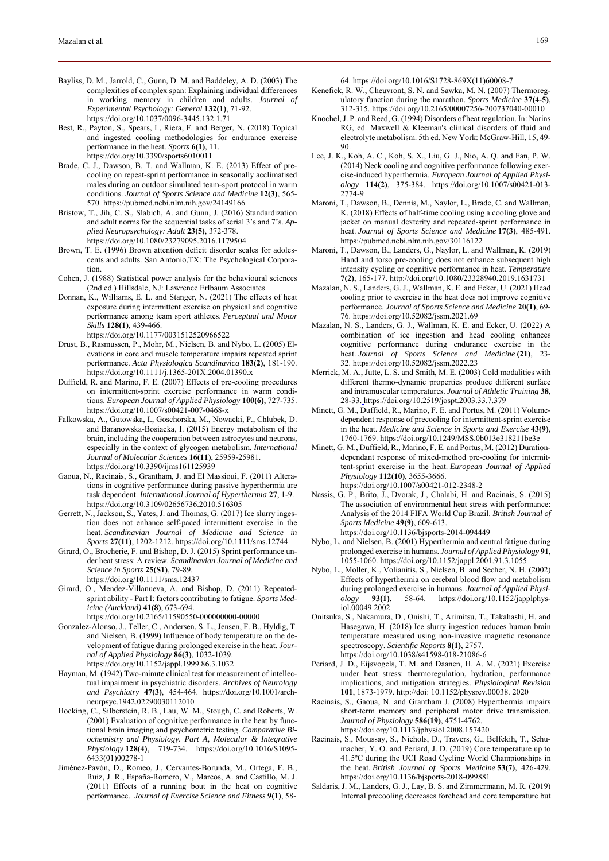- Bayliss, D. M., Jarrold, C., Gunn, D. M. and Baddeley, A. D. (2003) The complexities of complex span: Explaining individual differences in working memory in children and adults. *Journal of Experimental Psychology: General* **132(1)**, 71-92. https://doi.org/10.1037/0096-3445.132.1.71
- Best, R., Payton, S., Spears, I., Riera, F. and Berger, N. (2018) Topical and ingested cooling methodologies for endurance exercise performance in the heat. *Sports* **6(1)**, 11. https://doi.org/10.3390/sports6010011
- Brade, C. J., Dawson, B. T. and Wallman, K. E. (2013) Effect of precooling on repeat-sprint performance in seasonally acclimatised males during an outdoor simulated team-sport protocol in warm conditions. *Journal of Sports Science and Medicine* **12(3)**, 565- 570. https://pubmed.ncbi.nlm.nih.gov/24149166
- Bristow, T., Jih, C. S., Slabich, A. and Gunn, J. (2016) Standardization and adult norms for the sequential tasks of serial 3's and 7's. *Applied Neuropsychology: Adult* **23(5)**, 372-378. https://doi.org/10.1080/23279095.2016.1179504
- Brown, T. E. (1996) Brown attention deficit disorder scales for adolescents and adults. San Antonio,TX: The Psychological Corporation.
- Cohen, J. (1988) Statistical power analysis for the behavioural sciences (2nd ed.) Hillsdale, NJ: Lawrence Erlbaum Associates.
- Donnan, K., Williams, E. L. and Stanger, N. (2021) The effects of heat exposure during intermittent exercise on physical and cognitive performance among team sport athletes. *Perceptual and Motor Skills* **128(1)**, 439-466.

https://doi.org/10.1177/0031512520966522

- Drust, B., Rasmussen, P., Mohr, M., Nielsen, B. and Nybo, L. (2005) Elevations in core and muscle temperature impairs repeated sprint performance. *Acta Physiologica Scandinavica* **183(2)**, 181-190. https://doi.org/10.1111/j.1365-201X.2004.01390.x
- Duffield, R. and Marino, F. E. (2007) Effects of pre-cooling procedures on intermittent-sprint exercise performance in warm conditions. *European Journal of Applied Physiology* **100(6)**, 727-735. https://doi.org/10.1007/s00421-007-0468-x
- Falkowska, A., Gutowska, I., Goschorska, M., Nowacki, P., Chlubek, D. and Baranowska-Bosiacka, I. (2015) Energy metabolism of the brain, including the cooperation between astrocytes and neurons, especially in the context of glycogen metabolism. *International Journal of Molecular Sciences* **16(11)**, 25959-25981. https://doi.org/10.3390/ijms161125939
- Gaoua, N., Racinais, S., Grantham, J. and El Massioui, F. (2011) Alterations in cognitive performance during passive hyperthermia are task dependent. *International Journal of Hyperthermia* **27**, 1-9. https://doi.org/10.3109/02656736.2010.516305
- Gerrett, N., Jackson, S., Yates, J. and Thomas, G. (2017) Ice slurry ingestion does not enhance self‐paced intermittent exercise in the heat. *Scandinavian Journal of Medicine and Science in Sports* **27(11)**, 1202-1212. https://doi.org/10.1111/sms.12744
- Girard, O., Brocherie, F. and Bishop, D. J. (2015) Sprint performance under heat stress: A review. *Scandinavian Journal of Medicine and Science in Sports* **25(S1)**, 79-89. https://doi.org/10.1111/sms.12437
- Girard, O., Mendez-Villanueva, A. and Bishop, D. (2011) Repeatedsprint ability - Part I: factors contributing to fatigue. *Sports Medicine (Auckland)* **41(8)**, 673-694. https://doi.org/10.2165/11590550-000000000-00000
- Gonzalez-Alonso, J., Teller, C., Andersen, S. L., Jensen, F. B., Hyldig, T. and Nielsen, B. (1999) Influence of body temperature on the development of fatigue during prolonged exercise in the heat. *Journal of Applied Physiology* **86(3)**, 1032-1039. https://doi.org/10.1152/jappl.1999.86.3.1032
- Hayman, M. (1942) Two-minute clinical test for measurement of intellectual impairment in psychiatric disorders. *Archives of Neurology and Psychiatry* **47(3)**, 454-464. https://doi.org/10.1001/archneurpsyc.1942.02290030112010
- Hocking, C., Silberstein, R. B., Lau, W. M., Stough, C. and Roberts, W. (2001) Evaluation of cognitive performance in the heat by functional brain imaging and psychometric testing. *Comparative Biochemistry and Physiology. Part A, Molecular & Integrative Physiology* **128(4)**, 719-734. https://doi.org/10.1016/S1095- 6433(01)00278-1
- Jiménez-Pavón, D., Romeo, J., Cervantes-Borunda, M., Ortega, F. B., Ruiz, J. R., España-Romero, V., Marcos, A. and Castillo, M. J. (2011) Effects of a running bout in the heat on cognitive performance. *Journal of Exercise Science and Fitness* **9(1)**, 58-

64. https://doi.org/10.1016/S1728-869X(11)60008-7

- Kenefick, R. W., Cheuvront, S. N. and Sawka, M. N. (2007) Thermoregulatory function during the marathon. *Sports Medicine* **37(4-5)**, 312-315. https://doi.org/10.2165/00007256-200737040-00010
- Knochel, J. P. and Reed, G. (1994) Disorders of heat regulation. In: Narins RG, ed. Maxwell & Kleeman's clinical disorders of fluid and electrolyte metabolism. 5th ed. New York: McGraw-Hill, 15, 49- 90.
- Lee, J. K., Koh, A. C., Koh, S. X., Liu, G. J., Nio, A. Q. and Fan, P. W. (2014) Neck cooling and cognitive performance following exercise-induced hyperthermia. *European Journal of Applied Physiology* **114(2)**, 375-384. https://doi.org/10.1007/s00421-013- 2774-9
- Maroni, T., Dawson, B., Dennis, M., Naylor, L., Brade, C. and Wallman, K. (2018) Effects of half-time cooling using a cooling glove and jacket on manual dexterity and repeated-sprint performance in heat. *Journal of Sports Science and Medicine* **17(3)**, 485-491. https://pubmed.ncbi.nlm.nih.gov/30116122
- Maroni, T., Dawson, B., Landers, G., Naylor, L. and Wallman, K. (2019) Hand and torso pre-cooling does not enhance subsequent high intensity cycling or cognitive performance in heat. *Temperature* **7(2)**, 165-177. http://doi.org/10.1080/23328940.2019.1631731
- Mazalan, N. S., Landers, G. J., Wallman, K. E. and Ecker, U. (2021) Head cooling prior to exercise in the heat does not improve cognitive performance. *Journal of Sports Science and Medicine* **20(1)**, 69- 76. https://doi.org/10.52082/jssm.2021.69
- Mazalan, N. S., Landers, G. J., Wallman, K. E. and Ecker, U. (2022) A combination of ice ingestion and head cooling enhances cognitive performance during endurance exercise in the heat. *Journal of Sports Science and Medicine* **(21)**, 23- 32. https://doi.org/10.52082/jssm.2022.23
- Merrick, M. A., Jutte, L. S. and Smith, M. E. (2003) Cold modalities with different thermo-dynamic properties produce different surface and intramuscular temperatures. *Journal of Athletic Training* **38**, 28-33. https://doi.org/10.2519/jospt.2003.33.7.379
- Minett, G. M., Duffield, R., Marino, F. E. and Portus, M. (2011) Volumedependent response of precooling for intermittent-sprint exercise in the heat. *Medicine and Science in Sports and Exercise* **43(9)**, 1760-1769. https://doi.org/10.1249/MSS.0b013e318211be3e
- Minett, G. M., Duffield, R., Marino, F. E. and Portus, M. (2012) Durationdependant response of mixed-method pre-cooling for intermittent-sprint exercise in the heat. *European Journal of Applied Physiology* **112(10)**, 3655-3666. https://doi.org/10.1007/s00421-012-2348-2
- Nassis, G. P., Brito, J., Dvorak, J., Chalabi, H. and Racinais, S. (2015) The association of environmental heat stress with performance: Analysis of the 2014 FIFA World Cup Brazil. *British Journal of Sports Medicine* **49(9)**, 609-613. https://doi.org/10.1136/bjsports-2014-094449
- Nybo, L. and Nielsen, B. (2001) Hyperthermia and central fatigue during prolonged exercise in humans. *Journal of Applied Physiology* **91**, 1055-1060. https://doi.org/10.1152/jappl.2001.91.3.1055
- Nybo, L., Moller, K., Volianitis, S., Nielsen, B. and Secher, N. H. (2002) Effects of hyperthermia on cerebral blood flow and metabolism during prolonged exercise in humans. *Journal of Applied Physiology* **93(1)**, 58-64. https://doi.org/10.1152/japplphysiol.00049.2002
- Onitsuka, S., Nakamura, D., Onishi, T., Arimitsu, T., Takahashi, H. and Hasegawa, H. (2018) Ice slurry ingestion reduces human brain temperature measured using non-invasive magnetic resonance spectroscopy. *Scientific Reports* **8(1)**, 2757. https://doi.org/10.1038/s41598-018-21086-6
- Periard, J. D., Eijsvogels, T. M. and Daanen, H. A. M. (2021) Exercise under heat stress: thermoregulation, hydration, performance implications, and mitigation strategies. *Physiological Revision* **101**, 1873-1979. http://doi: 10.1152/physrev.00038. 2020
- Racinais, S., Gaoua, N. and Grantham J. (2008) Hyperthermia impairs short-term memory and peripheral motor drive transmission. *Journal of Physiology* **586(19)**, 4751-4762. https://doi.org/10.1113/jphysiol.2008.157420
- Racinais, S., Moussay, S., Nichols, D., Travers, G., Belfekih, T., Schumacher, Y. O. and Periard, J. D. (2019) Core temperature up to 41.5ºC during the UCI Road Cycling World Championships in the heat. *British Journal of Sports Medicine* **53(7)**, 426-429. https://doi.org/10.1136/bjsports-2018-099881
- Saldaris, J. M., Landers, G. J., Lay, B. S. and Zimmermann, M. R. (2019) Internal precooling decreases forehead and core temperature but